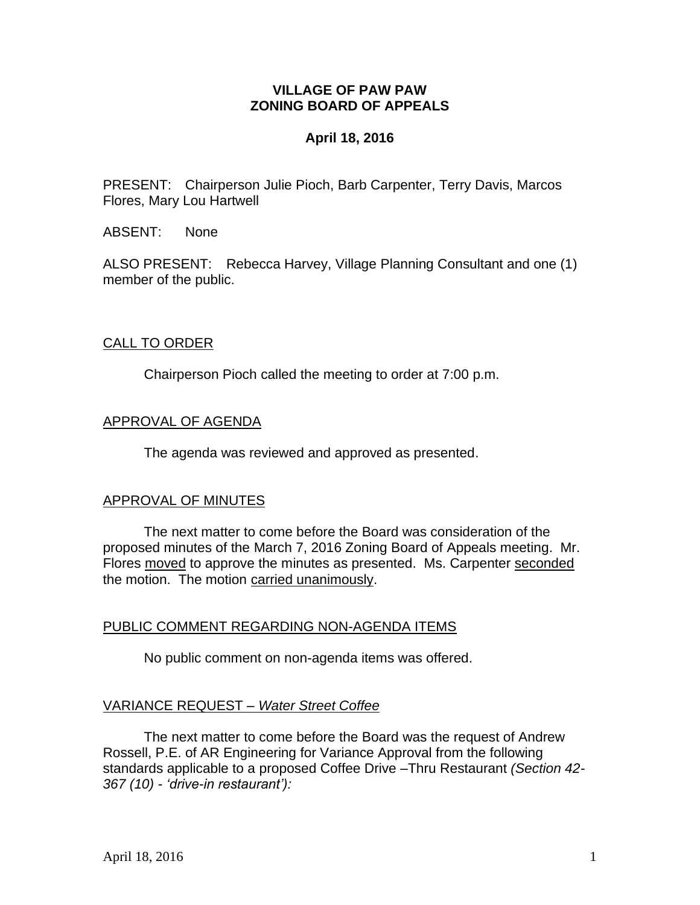## **VILLAGE OF PAW PAW ZONING BOARD OF APPEALS**

## **April 18, 2016**

PRESENT: Chairperson Julie Pioch, Barb Carpenter, Terry Davis, Marcos Flores, Mary Lou Hartwell

ABSENT: None

ALSO PRESENT: Rebecca Harvey, Village Planning Consultant and one (1) member of the public.

## CALL TO ORDER

Chairperson Pioch called the meeting to order at 7:00 p.m.

## APPROVAL OF AGENDA

The agenda was reviewed and approved as presented.

## APPROVAL OF MINUTES

The next matter to come before the Board was consideration of the proposed minutes of the March 7, 2016 Zoning Board of Appeals meeting. Mr. Flores moved to approve the minutes as presented. Ms. Carpenter seconded the motion. The motion carried unanimously.

# PUBLIC COMMENT REGARDING NON-AGENDA ITEMS

No public comment on non-agenda items was offered.

# VARIANCE REQUEST *– Water Street Coffee*

The next matter to come before the Board was the request of Andrew Rossell, P.E. of AR Engineering for Variance Approval from the following standards applicable to a proposed Coffee Drive –Thru Restaurant *(Section 42- 367 (10) - 'drive-in restaurant'):*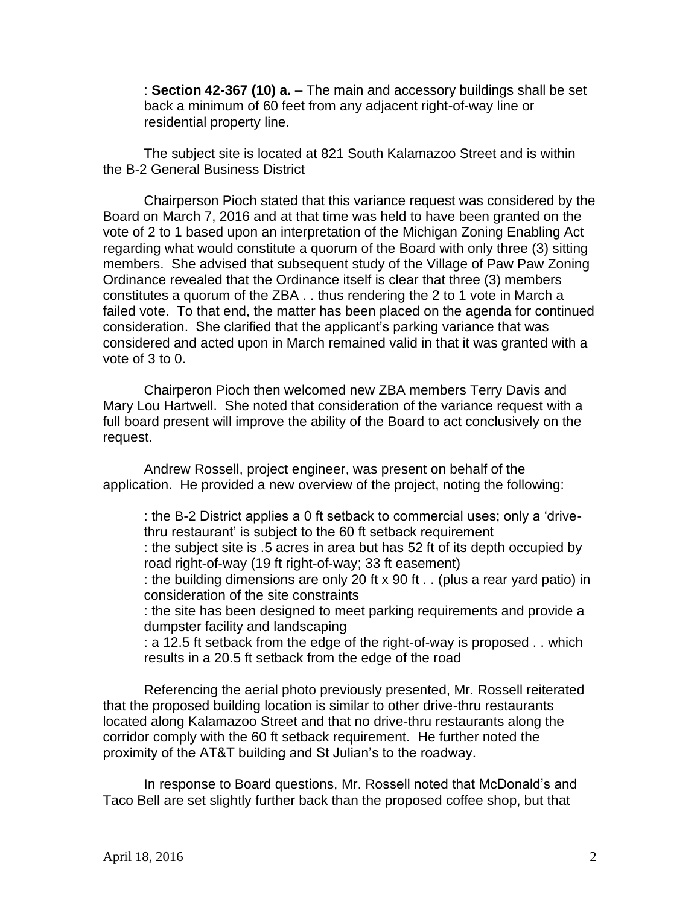: **Section 42-367 (10) a.** – The main and accessory buildings shall be set back a minimum of 60 feet from any adjacent right-of-way line or residential property line.

The subject site is located at 821 South Kalamazoo Street and is within the B-2 General Business District

Chairperson Pioch stated that this variance request was considered by the Board on March 7, 2016 and at that time was held to have been granted on the vote of 2 to 1 based upon an interpretation of the Michigan Zoning Enabling Act regarding what would constitute a quorum of the Board with only three (3) sitting members. She advised that subsequent study of the Village of Paw Paw Zoning Ordinance revealed that the Ordinance itself is clear that three (3) members constitutes a quorum of the ZBA . . thus rendering the 2 to 1 vote in March a failed vote. To that end, the matter has been placed on the agenda for continued consideration. She clarified that the applicant's parking variance that was considered and acted upon in March remained valid in that it was granted with a vote of 3 to 0.

Chairperon Pioch then welcomed new ZBA members Terry Davis and Mary Lou Hartwell. She noted that consideration of the variance request with a full board present will improve the ability of the Board to act conclusively on the request.

Andrew Rossell, project engineer, was present on behalf of the application. He provided a new overview of the project, noting the following:

: the B-2 District applies a 0 ft setback to commercial uses; only a 'drivethru restaurant' is subject to the 60 ft setback requirement

: the subject site is .5 acres in area but has 52 ft of its depth occupied by road right-of-way (19 ft right-of-way; 33 ft easement)

: the building dimensions are only 20 ft x 90 ft  $\ldots$  (plus a rear yard patio) in consideration of the site constraints

: the site has been designed to meet parking requirements and provide a dumpster facility and landscaping

: a 12.5 ft setback from the edge of the right-of-way is proposed . . which results in a 20.5 ft setback from the edge of the road

Referencing the aerial photo previously presented, Mr. Rossell reiterated that the proposed building location is similar to other drive-thru restaurants located along Kalamazoo Street and that no drive-thru restaurants along the corridor comply with the 60 ft setback requirement. He further noted the proximity of the AT&T building and St Julian's to the roadway.

In response to Board questions, Mr. Rossell noted that McDonald's and Taco Bell are set slightly further back than the proposed coffee shop, but that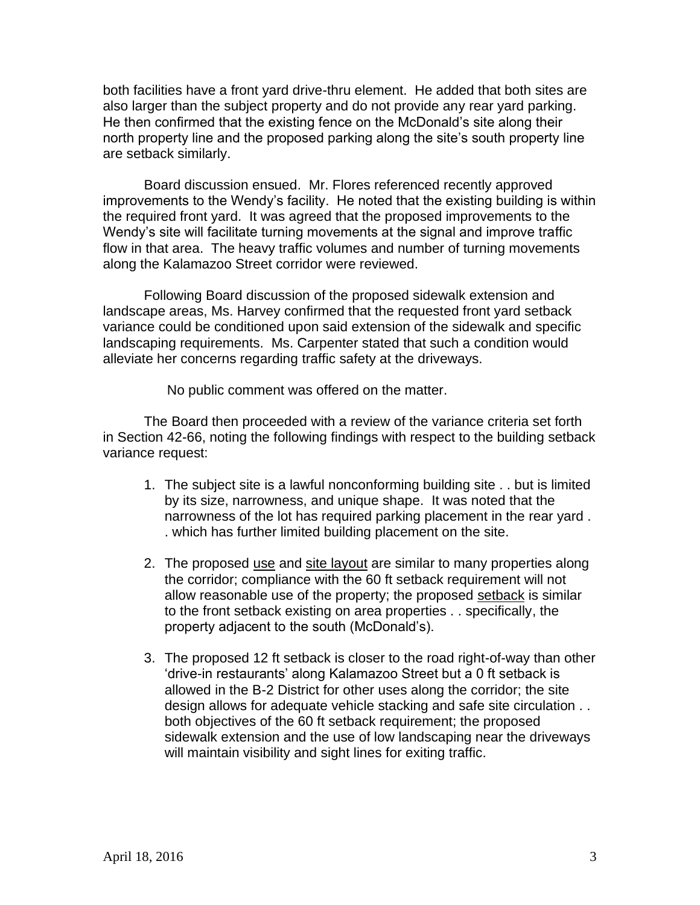both facilities have a front yard drive-thru element. He added that both sites are also larger than the subject property and do not provide any rear yard parking. He then confirmed that the existing fence on the McDonald's site along their north property line and the proposed parking along the site's south property line are setback similarly.

Board discussion ensued. Mr. Flores referenced recently approved improvements to the Wendy's facility. He noted that the existing building is within the required front yard. It was agreed that the proposed improvements to the Wendy's site will facilitate turning movements at the signal and improve traffic flow in that area. The heavy traffic volumes and number of turning movements along the Kalamazoo Street corridor were reviewed.

Following Board discussion of the proposed sidewalk extension and landscape areas, Ms. Harvey confirmed that the requested front yard setback variance could be conditioned upon said extension of the sidewalk and specific landscaping requirements. Ms. Carpenter stated that such a condition would alleviate her concerns regarding traffic safety at the driveways.

No public comment was offered on the matter.

The Board then proceeded with a review of the variance criteria set forth in Section 42-66, noting the following findings with respect to the building setback variance request:

- 1. The subject site is a lawful nonconforming building site . . but is limited by its size, narrowness, and unique shape. It was noted that the narrowness of the lot has required parking placement in the rear yard . . which has further limited building placement on the site.
- 2. The proposed use and site layout are similar to many properties along the corridor; compliance with the 60 ft setback requirement will not allow reasonable use of the property; the proposed setback is similar to the front setback existing on area properties . . specifically, the property adjacent to the south (McDonald's).
- 3. The proposed 12 ft setback is closer to the road right-of-way than other 'drive-in restaurants' along Kalamazoo Street but a 0 ft setback is allowed in the B-2 District for other uses along the corridor; the site design allows for adequate vehicle stacking and safe site circulation . . both objectives of the 60 ft setback requirement; the proposed sidewalk extension and the use of low landscaping near the driveways will maintain visibility and sight lines for exiting traffic.